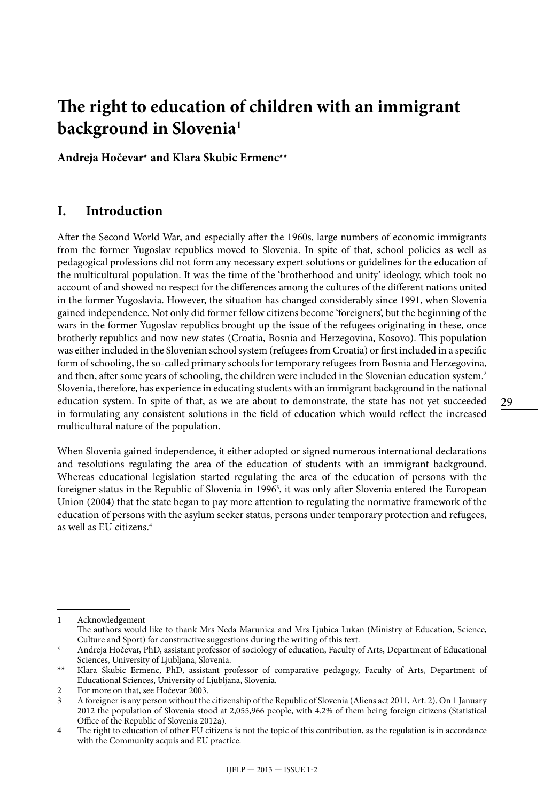# **The right to education of children with an immigrant background in Slovenia1**

**Andreja Hočevar\* and Klara Skubic Ermenc\*\***

#### **I. Introduction**

After the Second World War, and especially after the 1960s, large numbers of economic immigrants from the former Yugoslav republics moved to Slovenia. In spite of that, school policies as well as pedagogical professions did not form any necessary expert solutions or guidelines for the education of the multicultural population. It was the time of the 'brotherhood and unity' ideology, which took no account of and showed no respect for the differences among the cultures of the different nations united in the former Yugoslavia. However, the situation has changed considerably since 1991, when Slovenia gained independence. Not only did former fellow citizens become 'foreigners', but the beginning of the wars in the former Yugoslav republics brought up the issue of the refugees originating in these, once brotherly republics and now new states (Croatia, Bosnia and Herzegovina, Kosovo). This population was either included in the Slovenian school system (refugees from Croatia) or first included in a specific form of schooling, the so-called primary schools for temporary refugees from Bosnia and Herzegovina, and then, after some years of schooling, the children were included in the Slovenian education system.<sup>2</sup> Slovenia, therefore, has experience in educating students with an immigrant background in the national education system. In spite of that, as we are about to demonstrate, the state has not yet succeeded in formulating any consistent solutions in the field of education which would reflect the increased multicultural nature of the population.

When Slovenia gained independence, it either adopted or signed numerous international declarations and resolutions regulating the area of the education of students with an immigrant background. Whereas educational legislation started regulating the area of the education of persons with the foreigner status in the Republic of Slovenia in 19963 , it was only after Slovenia entered the European Union (2004) that the state began to pay more attention to regulating the normative framework of the education of persons with the asylum seeker status, persons under temporary protection and refugees, as well as EU citizens.4

<sup>1</sup> Acknowledgement The authors would like to thank Mrs Neda Marunica and Mrs Ljubica Lukan (Ministry of Education, Science, Culture and Sport) for constructive suggestions during the writing of this text.

<sup>\*</sup> Andreja Hočevar, PhD, assistant professor of sociology of education, Faculty of Arts, Department of Educational Sciences, University of Ljubljana, Slovenia.

<sup>\*\*</sup> Klara Skubic Ermenc, PhD, assistant professor of comparative pedagogy, Faculty of Arts, Department of Educational Sciences, University of Ljubljana, Slovenia.

<sup>2</sup> For more on that, see Hočevar 2003.

<sup>3</sup> A foreigner is any person without the citizenship of the Republic of Slovenia (Aliens act 2011, Art. 2). On 1 January 2012 the population of Slovenia stood at 2,055,966 people, with 4.2% of them being foreign citizens (Statistical Office of the Republic of Slovenia 2012a).

<sup>4</sup> The right to education of other EU citizens is not the topic of this contribution, as the regulation is in accordance with the Community acquis and EU practice.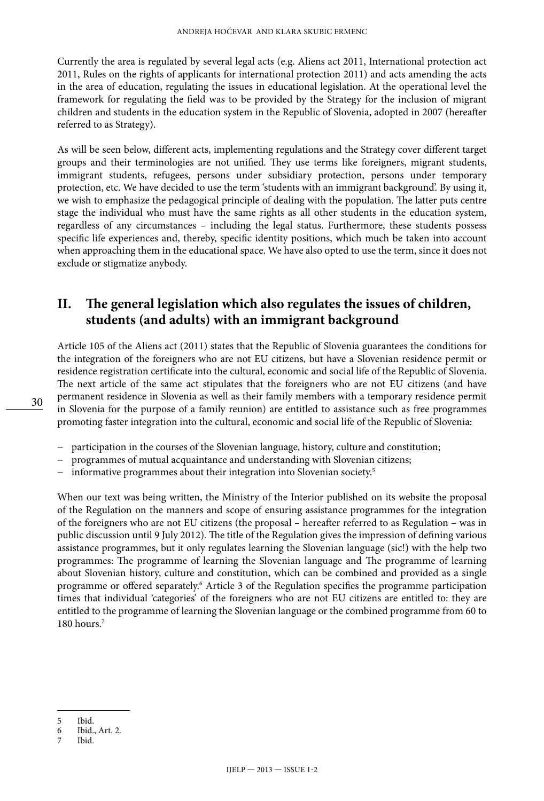Currently the area is regulated by several legal acts (e.g. Aliens act 2011, International protection act 2011, Rules on the rights of applicants for international protection 2011) and acts amending the acts in the area of education, regulating the issues in educational legislation. At the operational level the framework for regulating the field was to be provided by the Strategy for the inclusion of migrant children and students in the education system in the Republic of Slovenia, adopted in 2007 (hereafter referred to as Strategy).

As will be seen below, different acts, implementing regulations and the Strategy cover different target groups and their terminologies are not unified. They use terms like foreigners, migrant students, immigrant students, refugees, persons under subsidiary protection, persons under temporary protection, etc. We have decided to use the term 'students with an immigrant background'. By using it, we wish to emphasize the pedagogical principle of dealing with the population. The latter puts centre stage the individual who must have the same rights as all other students in the education system, regardless of any circumstances – including the legal status. Furthermore, these students possess specific life experiences and, thereby, specific identity positions, which much be taken into account when approaching them in the educational space. We have also opted to use the term, since it does not exclude or stigmatize anybody.

## **II. The general legislation which also regulates the issues of children, students (and adults) with an immigrant background**

Article 105 of the Aliens act (2011) states that the Republic of Slovenia guarantees the conditions for the integration of the foreigners who are not EU citizens, but have a Slovenian residence permit or residence registration certificate into the cultural, economic and social life of the Republic of Slovenia. The next article of the same act stipulates that the foreigners who are not EU citizens (and have permanent residence in Slovenia as well as their family members with a temporary residence permit in Slovenia for the purpose of a family reunion) are entitled to assistance such as free programmes promoting faster integration into the cultural, economic and social life of the Republic of Slovenia:

- − participation in the courses of the Slovenian language, history, culture and constitution;
- − programmes of mutual acquaintance and understanding with Slovenian citizens;
- − informative programmes about their integration into Slovenian society.5

When our text was being written, the Ministry of the Interior published on its website the proposal of the Regulation on the manners and scope of ensuring assistance programmes for the integration of the foreigners who are not EU citizens (the proposal – hereafter referred to as Regulation – was in public discussion until 9 July 2012). The title of the Regulation gives the impression of defining various assistance programmes, but it only regulates learning the Slovenian language (sic!) with the help two programmes: The programme of learning the Slovenian language and The programme of learning about Slovenian history, culture and constitution, which can be combined and provided as a single programme or offered separately.<sup>6</sup> Article 3 of the Regulation specifies the programme participation times that individual 'categories' of the foreigners who are not EU citizens are entitled to: they are entitled to the programme of learning the Slovenian language or the combined programme from 60 to 180 hours.7

7 Ibid.

<sup>5</sup> Ibid.

<sup>6</sup> Ibid., Art. 2.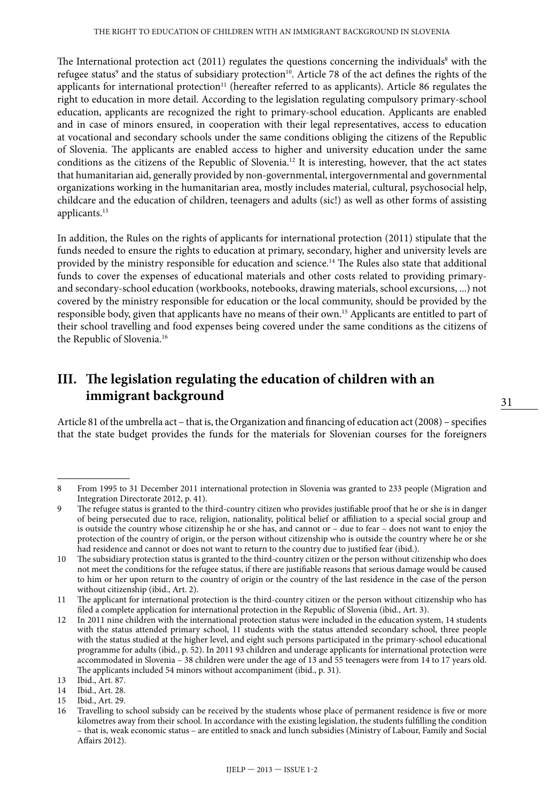The International protection act (2011) regulates the questions concerning the individuals<sup>8</sup> with the refugee status<sup>9</sup> and the status of subsidiary protection<sup>10</sup>. Article 78 of the act defines the rights of the applicants for international protection<sup>11</sup> (hereafter referred to as applicants). Article 86 regulates the right to education in more detail. According to the legislation regulating compulsory primary-school education, applicants are recognized the right to primary-school education. Applicants are enabled and in case of minors ensured, in cooperation with their legal representatives, access to education at vocational and secondary schools under the same conditions obliging the citizens of the Republic of Slovenia. The applicants are enabled access to higher and university education under the same conditions as the citizens of the Republic of Slovenia.12 It is interesting, however, that the act states that humanitarian aid, generally provided by non-governmental, intergovernmental and governmental organizations working in the humanitarian area, mostly includes material, cultural, psychosocial help, childcare and the education of children, teenagers and adults (sic!) as well as other forms of assisting applicants.<sup>13</sup>

In addition, the Rules on the rights of applicants for international protection (2011) stipulate that the funds needed to ensure the rights to education at primary, secondary, higher and university levels are provided by the ministry responsible for education and science.14 The Rules also state that additional funds to cover the expenses of educational materials and other costs related to providing primaryand secondary-school education (workbooks, notebooks, drawing materials, school excursions, ...) not covered by the ministry responsible for education or the local community, should be provided by the responsible body, given that applicants have no means of their own.15 Applicants are entitled to part of their school travelling and food expenses being covered under the same conditions as the citizens of the Republic of Slovenia.<sup>16</sup>

## **III. The legislation regulating the education of children with an immigrant background**

Article 81 of the umbrella act – that is, the Organization and financing of education act (2008) – specifies that the state budget provides the funds for the materials for Slovenian courses for the foreigners

<sup>8</sup> From 1995 to 31 December 2011 international protection in Slovenia was granted to 233 people (Migration and Integration Directorate 2012, p. 41).

<sup>9</sup> The refugee status is granted to the third-country citizen who provides justifiable proof that he or she is in danger of being persecuted due to race, religion, nationality, political belief or affiliation to a special social group and is outside the country whose citizenship he or she has, and cannot or – due to fear – does not want to enjoy the protection of the country of origin, or the person without citizenship who is outside the country where he or she had residence and cannot or does not want to return to the country due to justified fear (ibid.).

<sup>10</sup> The subsidiary protection status is granted to the third-country citizen or the person without citizenship who does not meet the conditions for the refugee status, if there are justifiable reasons that serious damage would be caused to him or her upon return to the country of origin or the country of the last residence in the case of the person without citizenship (ibid., Art. 2).

<sup>11</sup> The applicant for international protection is the third-country citizen or the person without citizenship who has filed a complete application for international protection in the Republic of Slovenia (ibid., Art. 3).

<sup>12</sup> In 2011 nine children with the international protection status were included in the education system, 14 students with the status attended primary school, 11 students with the status attended secondary school, three people with the status studied at the higher level, and eight such persons participated in the primary-school educational programme for adults (ibid., p. 52). In 2011 93 children and underage applicants for international protection were accommodated in Slovenia – 38 children were under the age of 13 and 55 teenagers were from 14 to 17 years old. The applicants included 54 minors without accompaniment (ibid., p. 31).

<sup>13</sup> Ibid., Art. 87.<br>14 Ibid., Art. 28.

Ibid., Art. 28.

<sup>15</sup> Ibid., Art. 29.<br>16 Travelling to

Travelling to school subsidy can be received by the students whose place of permanent residence is five or more kilometres away from their school. In accordance with the existing legislation, the students fulfilling the condition – that is, weak economic status – are entitled to snack and lunch subsidies (Ministry of Labour, Family and Social Affairs 2012).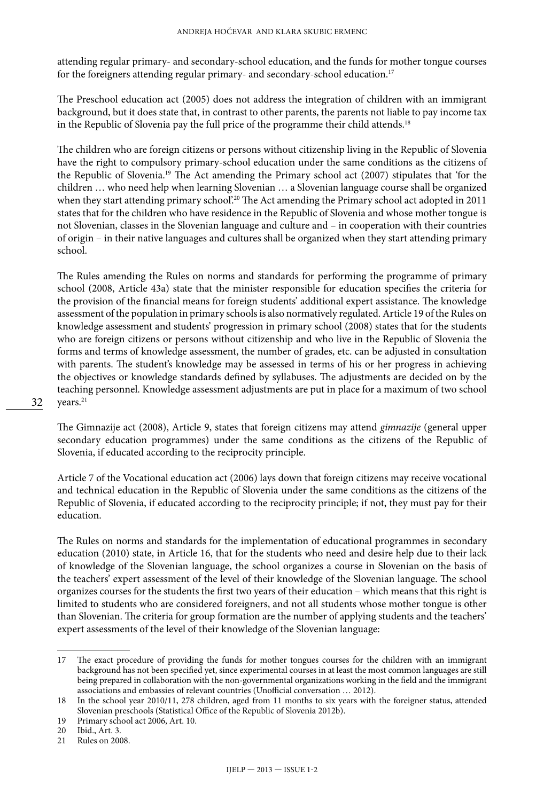attending regular primary- and secondary-school education, and the funds for mother tongue courses for the foreigners attending regular primary- and secondary-school education.<sup>17</sup>

The Preschool education act (2005) does not address the integration of children with an immigrant background, but it does state that, in contrast to other parents, the parents not liable to pay income tax in the Republic of Slovenia pay the full price of the programme their child attends.<sup>18</sup>

The children who are foreign citizens or persons without citizenship living in the Republic of Slovenia have the right to compulsory primary-school education under the same conditions as the citizens of the Republic of Slovenia.19 The Act amending the Primary school act (2007) stipulates that 'for the children … who need help when learning Slovenian … a Slovenian language course shall be organized when they start attending primary school'.<sup>20</sup> The Act amending the Primary school act adopted in 2011 states that for the children who have residence in the Republic of Slovenia and whose mother tongue is not Slovenian, classes in the Slovenian language and culture and – in cooperation with their countries of origin – in their native languages and cultures shall be organized when they start attending primary school.

The Rules amending the Rules on norms and standards for performing the programme of primary school (2008, Article 43a) state that the minister responsible for education specifies the criteria for the provision of the financial means for foreign students' additional expert assistance. The knowledge assessment of the population in primary schools is also normatively regulated. Article 19 of the Rules on knowledge assessment and students' progression in primary school (2008) states that for the students who are foreign citizens or persons without citizenship and who live in the Republic of Slovenia the forms and terms of knowledge assessment, the number of grades, etc. can be adjusted in consultation with parents. The student's knowledge may be assessed in terms of his or her progress in achieving the objectives or knowledge standards defined by syllabuses. The adjustments are decided on by the teaching personnel. Knowledge assessment adjustments are put in place for a maximum of two school vears.<sup>21</sup>

The Gimnazije act (2008), Article 9, states that foreign citizens may attend *gimnazije* (general upper secondary education programmes) under the same conditions as the citizens of the Republic of Slovenia, if educated according to the reciprocity principle.

Article 7 of the Vocational education act (2006) lays down that foreign citizens may receive vocational and technical education in the Republic of Slovenia under the same conditions as the citizens of the Republic of Slovenia, if educated according to the reciprocity principle; if not, they must pay for their education.

The Rules on norms and standards for the implementation of educational programmes in secondary education (2010) state, in Article 16, that for the students who need and desire help due to their lack of knowledge of the Slovenian language, the school organizes a course in Slovenian on the basis of the teachers' expert assessment of the level of their knowledge of the Slovenian language. The school organizes courses for the students the first two years of their education – which means that this right is limited to students who are considered foreigners, and not all students whose mother tongue is other than Slovenian. The criteria for group formation are the number of applying students and the teachers' expert assessments of the level of their knowledge of the Slovenian language:

<sup>17</sup> The exact procedure of providing the funds for mother tongues courses for the children with an immigrant background has not been specified yet, since experimental courses in at least the most common languages are still being prepared in collaboration with the non-governmental organizations working in the field and the immigrant associations and embassies of relevant countries (Unofficial conversation … 2012).

<sup>18</sup> In the school year 2010/11, 278 children, aged from 11 months to six years with the foreigner status, attended Slovenian preschools (Statistical Office of the Republic of Slovenia 2012b).

<sup>19</sup> Primary school act 2006, Art. 10.

<sup>20</sup> Ibid., Art. 3.<br>21 Rules on 200

Rules on 2008.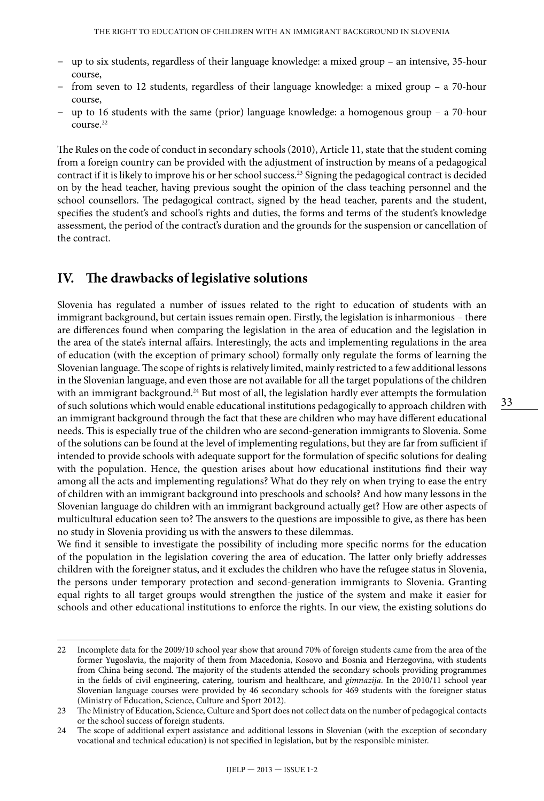- − up to six students, regardless of their language knowledge: a mixed group an intensive, 35-hour course,
- − from seven to 12 students, regardless of their language knowledge: a mixed group a 70-hour course,
- − up to 16 students with the same (prior) language knowledge: a homogenous group a 70-hour course.22

The Rules on the code of conduct in secondary schools (2010), Article 11, state that the student coming from a foreign country can be provided with the adjustment of instruction by means of a pedagogical contract if it is likely to improve his or her school success.23 Signing the pedagogical contract is decided on by the head teacher, having previous sought the opinion of the class teaching personnel and the school counsellors. The pedagogical contract, signed by the head teacher, parents and the student, specifies the student's and school's rights and duties, the forms and terms of the student's knowledge assessment, the period of the contract's duration and the grounds for the suspension or cancellation of the contract.

#### **IV. The drawbacks of legislative solutions**

Slovenia has regulated a number of issues related to the right to education of students with an immigrant background, but certain issues remain open. Firstly, the legislation is inharmonious – there are differences found when comparing the legislation in the area of education and the legislation in the area of the state's internal affairs. Interestingly, the acts and implementing regulations in the area of education (with the exception of primary school) formally only regulate the forms of learning the Slovenian language. The scope of rights is relatively limited, mainly restricted to a few additional lessons in the Slovenian language, and even those are not available for all the target populations of the children with an immigrant background.<sup>24</sup> But most of all, the legislation hardly ever attempts the formulation of such solutions which would enable educational institutions pedagogically to approach children with an immigrant background through the fact that these are children who may have different educational needs. This is especially true of the children who are second-generation immigrants to Slovenia. Some of the solutions can be found at the level of implementing regulations, but they are far from sufficient if intended to provide schools with adequate support for the formulation of specific solutions for dealing with the population. Hence, the question arises about how educational institutions find their way among all the acts and implementing regulations? What do they rely on when trying to ease the entry of children with an immigrant background into preschools and schools? And how many lessons in the Slovenian language do children with an immigrant background actually get? How are other aspects of multicultural education seen to? The answers to the questions are impossible to give, as there has been no study in Slovenia providing us with the answers to these dilemmas.

We find it sensible to investigate the possibility of including more specific norms for the education of the population in the legislation covering the area of education. The latter only briefly addresses children with the foreigner status, and it excludes the children who have the refugee status in Slovenia, the persons under temporary protection and second-generation immigrants to Slovenia. Granting equal rights to all target groups would strengthen the justice of the system and make it easier for schools and other educational institutions to enforce the rights. In our view, the existing solutions do

<sup>22</sup> Incomplete data for the 2009/10 school year show that around 70% of foreign students came from the area of the former Yugoslavia, the majority of them from Macedonia, Kosovo and Bosnia and Herzegovina, with students from China being second. The majority of the students attended the secondary schools providing programmes in the fields of civil engineering, catering, tourism and healthcare, and *gimnazija*. In the 2010/11 school year Slovenian language courses were provided by 46 secondary schools for 469 students with the foreigner status (Ministry of Education, Science, Culture and Sport 2012).

<sup>23</sup> The Ministry of Education, Science, Culture and Sport does not collect data on the number of pedagogical contacts or the school success of foreign students.

<sup>24</sup> The scope of additional expert assistance and additional lessons in Slovenian (with the exception of secondary vocational and technical education) is not specified in legislation, but by the responsible minister.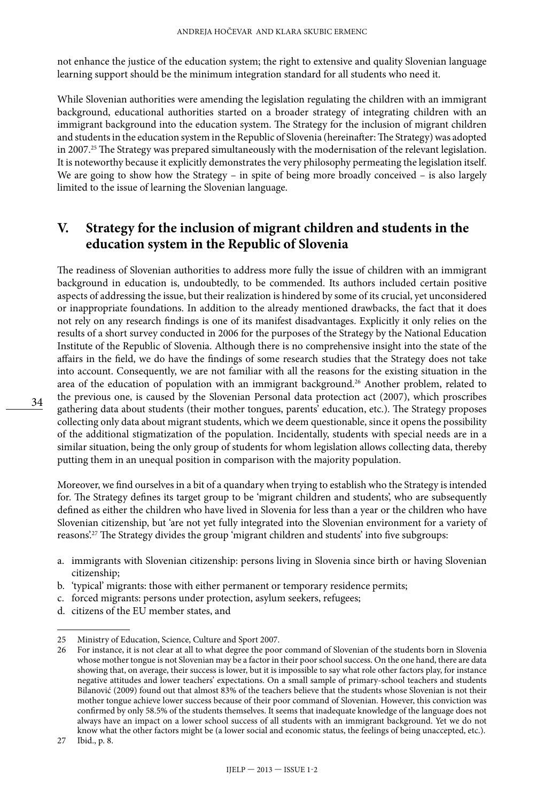not enhance the justice of the education system; the right to extensive and quality Slovenian language learning support should be the minimum integration standard for all students who need it.

While Slovenian authorities were amending the legislation regulating the children with an immigrant background, educational authorities started on a broader strategy of integrating children with an immigrant background into the education system. The Strategy for the inclusion of migrant children and students in the education system in the Republic of Slovenia (hereinafter: The Strategy) was adopted in 2007.<sup>25</sup> The Strategy was prepared simultaneously with the modernisation of the relevant legislation. It is noteworthy because it explicitly demonstrates the very philosophy permeating the legislation itself. We are going to show how the Strategy – in spite of being more broadly conceived – is also largely limited to the issue of learning the Slovenian language.

## **V. Strategy for the inclusion of migrant children and students in the education system in the Republic of Slovenia**

The readiness of Slovenian authorities to address more fully the issue of children with an immigrant background in education is, undoubtedly, to be commended. Its authors included certain positive aspects of addressing the issue, but their realization is hindered by some of its crucial, yet unconsidered or inappropriate foundations. In addition to the already mentioned drawbacks, the fact that it does not rely on any research findings is one of its manifest disadvantages. Explicitly it only relies on the results of a short survey conducted in 2006 for the purposes of the Strategy by the National Education Institute of the Republic of Slovenia. Although there is no comprehensive insight into the state of the affairs in the field, we do have the findings of some research studies that the Strategy does not take into account. Consequently, we are not familiar with all the reasons for the existing situation in the area of the education of population with an immigrant background.<sup>26</sup> Another problem, related to the previous one, is caused by the Slovenian Personal data protection act (2007), which proscribes gathering data about students (their mother tongues, parents' education, etc.). The Strategy proposes collecting only data about migrant students, which we deem questionable, since it opens the possibility of the additional stigmatization of the population. Incidentally, students with special needs are in a similar situation, being the only group of students for whom legislation allows collecting data, thereby putting them in an unequal position in comparison with the majority population.

Moreover, we find ourselves in a bit of a quandary when trying to establish who the Strategy is intended for. The Strategy defines its target group to be 'migrant children and students', who are subsequently defined as either the children who have lived in Slovenia for less than a year or the children who have Slovenian citizenship, but 'are not yet fully integrated into the Slovenian environment for a variety of reasons'.27 The Strategy divides the group 'migrant children and students' into five subgroups:

- a. immigrants with Slovenian citizenship: persons living in Slovenia since birth or having Slovenian citizenship;
- b. 'typical' migrants: those with either permanent or temporary residence permits;
- c. forced migrants: persons under protection, asylum seekers, refugees;
- d. citizens of the EU member states, and

<sup>25</sup> Ministry of Education, Science, Culture and Sport 2007.

<sup>26</sup> For instance, it is not clear at all to what degree the poor command of Slovenian of the students born in Slovenia whose mother tongue is not Slovenian may be a factor in their poor school success. On the one hand, there are data showing that, on average, their success is lower, but it is impossible to say what role other factors play, for instance negative attitudes and lower teachers' expectations. On a small sample of primary-school teachers and students Bilanović (2009) found out that almost 83% of the teachers believe that the students whose Slovenian is not their mother tongue achieve lower success because of their poor command of Slovenian. However, this conviction was confirmed by only 58.5% of the students themselves. It seems that inadequate knowledge of the language does not always have an impact on a lower school success of all students with an immigrant background. Yet we do not know what the other factors might be (a lower social and economic status, the feelings of being unaccepted, etc.).

<sup>27</sup> Ibid., p. 8.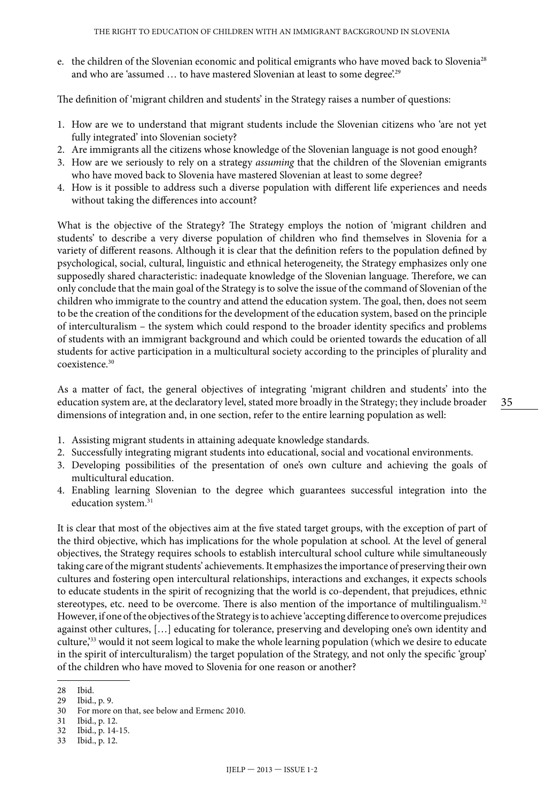e. the children of the Slovenian economic and political emigrants who have moved back to Slovenia<sup>28</sup> and who are 'assumed ... to have mastered Slovenian at least to some degree'.<sup>29</sup>

The definition of 'migrant children and students' in the Strategy raises a number of questions:

- 1. How are we to understand that migrant students include the Slovenian citizens who 'are not yet fully integrated' into Slovenian society?
- 2. Are immigrants all the citizens whose knowledge of the Slovenian language is not good enough?
- 3. How are we seriously to rely on a strategy *assuming* that the children of the Slovenian emigrants who have moved back to Slovenia have mastered Slovenian at least to some degree?
- 4. How is it possible to address such a diverse population with different life experiences and needs without taking the differences into account?

What is the objective of the Strategy? The Strategy employs the notion of 'migrant children and students' to describe a very diverse population of children who find themselves in Slovenia for a variety of different reasons. Although it is clear that the definition refers to the population defined by psychological, social, cultural, linguistic and ethnical heterogeneity, the Strategy emphasizes only one supposedly shared characteristic: inadequate knowledge of the Slovenian language. Therefore, we can only conclude that the main goal of the Strategy is to solve the issue of the command of Slovenian of the children who immigrate to the country and attend the education system. The goal, then, does not seem to be the creation of the conditions for the development of the education system, based on the principle of interculturalism – the system which could respond to the broader identity specifics and problems of students with an immigrant background and which could be oriented towards the education of all students for active participation in a multicultural society according to the principles of plurality and coexistence<sup>30</sup>

As a matter of fact, the general objectives of integrating 'migrant children and students' into the education system are, at the declaratory level, stated more broadly in the Strategy; they include broader dimensions of integration and, in one section, refer to the entire learning population as well:

- 1. Assisting migrant students in attaining adequate knowledge standards.
- 2. Successfully integrating migrant students into educational, social and vocational environments.
- 3. Developing possibilities of the presentation of one's own culture and achieving the goals of multicultural education.
- 4. Enabling learning Slovenian to the degree which guarantees successful integration into the education system.<sup>31</sup>

It is clear that most of the objectives aim at the five stated target groups, with the exception of part of the third objective, which has implications for the whole population at school. At the level of general objectives, the Strategy requires schools to establish intercultural school culture while simultaneously taking care of the migrant students' achievements. It emphasizes the importance of preserving their own cultures and fostering open intercultural relationships, interactions and exchanges, it expects schools to educate students in the spirit of recognizing that the world is co-dependent, that prejudices, ethnic stereotypes, etc. need to be overcome. There is also mention of the importance of multilingualism.<sup>32</sup> However, if one of the objectives of the Strategy is to achieve 'accepting difference to overcome prejudices against other cultures, […] educating for tolerance, preserving and developing one's own identity and culture,'33 would it not seem logical to make the whole learning population (which we desire to educate in the spirit of interculturalism) the target population of the Strategy, and not only the specific 'group' of the children who have moved to Slovenia for one reason or another?

<sup>28</sup> Ibid.

<sup>29</sup> Ibid., p. 9.

For more on that, see below and Ermenc 2010.

<sup>31</sup> Ibid., p. 12.

<sup>32</sup> Ibid., p. 14-15.<br>33 Ibid., p. 12.

Ibid., p. 12.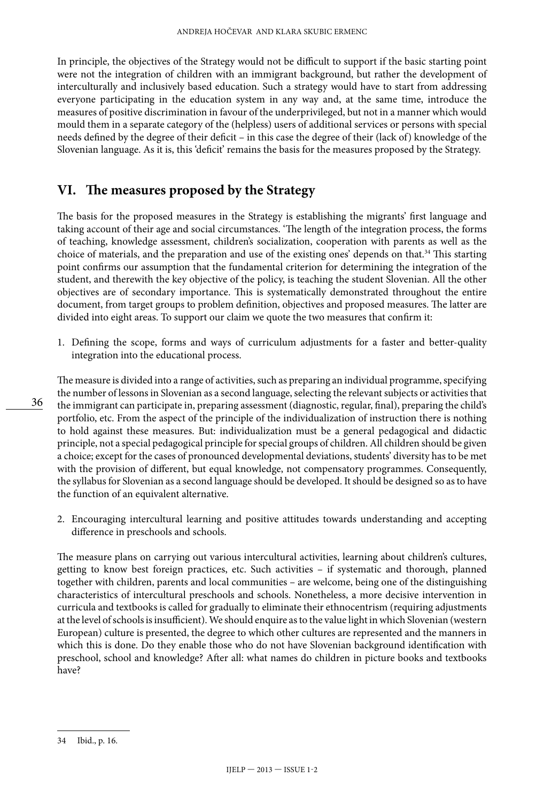In principle, the objectives of the Strategy would not be difficult to support if the basic starting point were not the integration of children with an immigrant background, but rather the development of interculturally and inclusively based education. Such a strategy would have to start from addressing everyone participating in the education system in any way and, at the same time, introduce the measures of positive discrimination in favour of the underprivileged, but not in a manner which would mould them in a separate category of the (helpless) users of additional services or persons with special needs defined by the degree of their deficit – in this case the degree of their (lack of) knowledge of the Slovenian language. As it is, this 'deficit' remains the basis for the measures proposed by the Strategy.

### **VI. The measures proposed by the Strategy**

The basis for the proposed measures in the Strategy is establishing the migrants' first language and taking account of their age and social circumstances. 'The length of the integration process, the forms of teaching, knowledge assessment, children's socialization, cooperation with parents as well as the choice of materials, and the preparation and use of the existing ones' depends on that.34 This starting point confirms our assumption that the fundamental criterion for determining the integration of the student, and therewith the key objective of the policy, is teaching the student Slovenian. All the other objectives are of secondary importance. This is systematically demonstrated throughout the entire document, from target groups to problem definition, objectives and proposed measures. The latter are divided into eight areas. To support our claim we quote the two measures that confirm it:

1. Defining the scope, forms and ways of curriculum adjustments for a faster and better-quality integration into the educational process.

The measure is divided into a range of activities, such as preparing an individual programme, specifying the number of lessons in Slovenian as a second language, selecting the relevant subjects or activities that the immigrant can participate in, preparing assessment (diagnostic, regular, final), preparing the child's portfolio, etc. From the aspect of the principle of the individualization of instruction there is nothing to hold against these measures. But: individualization must be a general pedagogical and didactic principle, not a special pedagogical principle for special groups of children. All children should be given a choice; except for the cases of pronounced developmental deviations, students' diversity has to be met with the provision of different, but equal knowledge, not compensatory programmes. Consequently, the syllabus for Slovenian as a second language should be developed. It should be designed so as to have the function of an equivalent alternative.

2. Encouraging intercultural learning and positive attitudes towards understanding and accepting difference in preschools and schools.

The measure plans on carrying out various intercultural activities, learning about children's cultures, getting to know best foreign practices, etc. Such activities – if systematic and thorough, planned together with children, parents and local communities – are welcome, being one of the distinguishing characteristics of intercultural preschools and schools. Nonetheless, a more decisive intervention in curricula and textbooks is called for gradually to eliminate their ethnocentrism (requiring adjustments at the level of schools is insufficient). We should enquire as to the value light in which Slovenian (western European) culture is presented, the degree to which other cultures are represented and the manners in which this is done. Do they enable those who do not have Slovenian background identification with preschool, school and knowledge? After all: what names do children in picture books and textbooks have?

<sup>34</sup> Ibid., p. 16.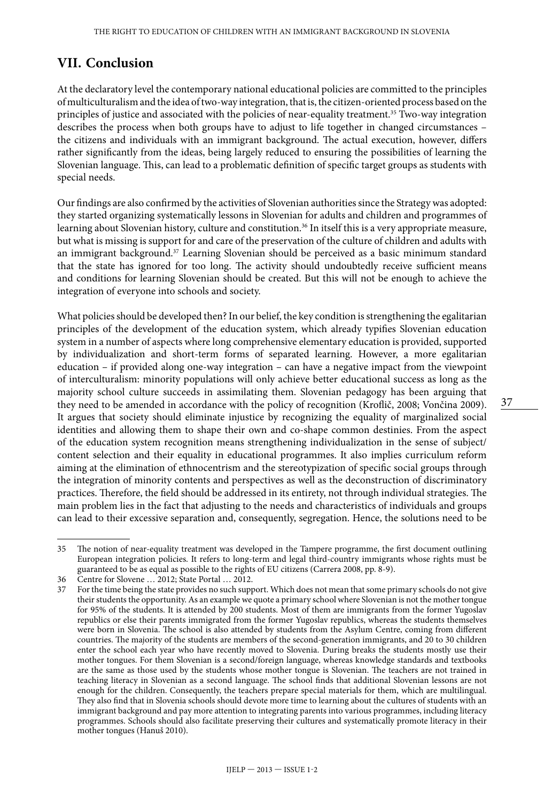## **VII. Conclusion**

At the declaratory level the contemporary national educational policies are committed to the principles of multiculturalism and the idea of two-way integration, that is, the citizen-oriented process based on the principles of justice and associated with the policies of near-equality treatment.<sup>35</sup> Two-way integration describes the process when both groups have to adjust to life together in changed circumstances – the citizens and individuals with an immigrant background. The actual execution, however, differs rather significantly from the ideas, being largely reduced to ensuring the possibilities of learning the Slovenian language. This, can lead to a problematic definition of specific target groups as students with special needs.

Our findings are also confirmed by the activities of Slovenian authorities since the Strategy was adopted: they started organizing systematically lessons in Slovenian for adults and children and programmes of learning about Slovenian history, culture and constitution.<sup>36</sup> In itself this is a very appropriate measure, but what is missing is support for and care of the preservation of the culture of children and adults with an immigrant background.<sup>37</sup> Learning Slovenian should be perceived as a basic minimum standard that the state has ignored for too long. The activity should undoubtedly receive sufficient means and conditions for learning Slovenian should be created. But this will not be enough to achieve the integration of everyone into schools and society.

What policies should be developed then? In our belief, the key condition is strengthening the egalitarian principles of the development of the education system, which already typifies Slovenian education system in a number of aspects where long comprehensive elementary education is provided, supported by individualization and short-term forms of separated learning. However, a more egalitarian education – if provided along one-way integration – can have a negative impact from the viewpoint of interculturalism: minority populations will only achieve better educational success as long as the majority school culture succeeds in assimilating them. Slovenian pedagogy has been arguing that they need to be amended in accordance with the policy of recognition (Kroflič, 2008; Vončina 2009). It argues that society should eliminate injustice by recognizing the equality of marginalized social identities and allowing them to shape their own and co-shape common destinies. From the aspect of the education system recognition means strengthening individualization in the sense of subject/ content selection and their equality in educational programmes. It also implies curriculum reform aiming at the elimination of ethnocentrism and the stereotypization of specific social groups through the integration of minority contents and perspectives as well as the deconstruction of discriminatory practices. Therefore, the field should be addressed in its entirety, not through individual strategies. The main problem lies in the fact that adjusting to the needs and characteristics of individuals and groups can lead to their excessive separation and, consequently, segregation. Hence, the solutions need to be

<sup>35</sup> The notion of near-equality treatment was developed in the Tampere programme, the first document outlining European integration policies. It refers to long-term and legal third-country immigrants whose rights must be guaranteed to be as equal as possible to the rights of EU citizens (Carrera 2008, pp. 8-9).

<sup>36</sup> Centre for Slovene … 2012; State Portal … 2012.

<sup>37</sup> For the time being the state provides no such support. Which does not mean that some primary schools do not give their students the opportunity. As an example we quote a primary school where Slovenian is not the mother tongue for 95% of the students. It is attended by 200 students. Most of them are immigrants from the former Yugoslav republics or else their parents immigrated from the former Yugoslav republics, whereas the students themselves were born in Slovenia. The school is also attended by students from the Asylum Centre, coming from different countries. The majority of the students are members of the second-generation immigrants, and 20 to 30 children enter the school each year who have recently moved to Slovenia. During breaks the students mostly use their mother tongues. For them Slovenian is a second/foreign language, whereas knowledge standards and textbooks are the same as those used by the students whose mother tongue is Slovenian. The teachers are not trained in teaching literacy in Slovenian as a second language. The school finds that additional Slovenian lessons are not enough for the children. Consequently, the teachers prepare special materials for them, which are multilingual. They also find that in Slovenia schools should devote more time to learning about the cultures of students with an immigrant background and pay more attention to integrating parents into various programmes, including literacy programmes. Schools should also facilitate preserving their cultures and systematically promote literacy in their mother tongues (Hanuš 2010).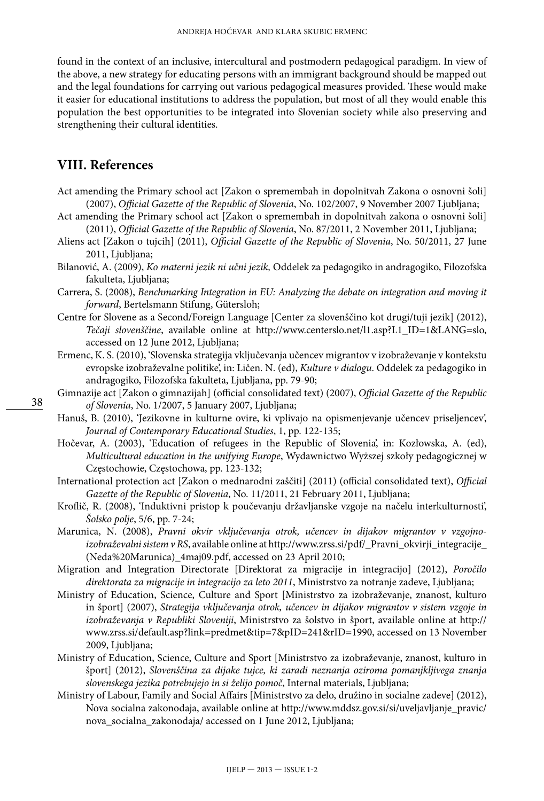found in the context of an inclusive, intercultural and postmodern pedagogical paradigm. In view of the above, a new strategy for educating persons with an immigrant background should be mapped out and the legal foundations for carrying out various pedagogical measures provided. These would make it easier for educational institutions to address the population, but most of all they would enable this population the best opportunities to be integrated into Slovenian society while also preserving and strengthening their cultural identities.

#### **VIII. References**

- Act amending the Primary school act [Zakon o spremembah in dopolnitvah Zakona o osnovni šoli] (2007), *Official Gazette of the Republic of Slovenia*, No. 102/2007, 9 November 2007 Ljubljana;
- Act amending the Primary school act [Zakon o spremembah in dopolnitvah zakona o osnovni šoli] (2011), *Official Gazette of the Republic of Slovenia*, No. 87/2011, 2 November 2011, Ljubljana;
- Aliens act [Zakon o tujcih] (2011), *[Official Gazette of the Republic of Slovenia](http://www.uradni-list.si/1/index?edition=201150)*, No. 50/2011, 27 June [2011](http://www.uradni-list.si/1/index?edition=201150), Ljubljana;
- Bilanović, A. (2009), *Ko materni jezik ni učni jezik,* Oddelek za pedagogiko in andragogiko, Filozofska fakulteta, Ljubljana;
- Carrera, S. (2008), *Benchmarking Integration in EU: Analyzing the debate on integration and moving it forward*, Bertelsmann Stifung, Gütersloh;
- Centre for Slovene as a Second/Foreign Language [Center za slovenščino kot drugi/tuji jezik] (2012), *Tečaji slovenščine*, available online at http://www.centerslo.net/l1.asp?L1\_ID=1&LANG=slo, accessed on 12 June 2012, Ljubljana;
- Ermenc, K. S. (2010), 'Slovenska strategija vključevanja učencev migrantov v izobraževanje v kontekstu evropske izobraževalne politike', in: Ličen. N. (ed), *Kulture v dialogu*. Oddelek za pedagogiko in andragogiko, Filozofska fakulteta, Ljubljana, pp. 79-90;
- Gimnazije act [Zakon o gimnazijah] (official consolidated text) (2007), *Official Gazette of the Republic of Slovenia*, No. 1/2007, 5 January 2007, Ljubljana;
- Hanuš, B. (2010), 'Jezikovne in kulturne ovire, ki vplivajo na opismenjevanje učencev priseljencev', *Journal of Contemporary Educational Studies*, 1, pp. 122-135;
- Hočevar, A. (2003), 'Education of refugees in the Republic of Slovenia', in: Kozłowska, A. (ed), *Multicultural education in the unifying Europe*, Wydawnictwo Wyższej szkoły pedagogicznej w Częstochowie, Częstochowa, pp. 123-132;
- International protection act [Zakon o mednarodni zaščiti] (2011) (official consolidated text), *[Official](http://www.uradni-list.si/1/index?edition=201150)  [Gazette of the Republic of Slovenia](http://www.uradni-list.si/1/index?edition=201150)*, No. 11/2011, 21 February 2011, Ljubljana;
- Kroflič, R. (2008), 'Induktivni pristop k poučevanju državljanske vzgoje na načelu interkulturnosti', *Šolsko polje*, 5/6, pp. 7-24;
- Marunica, N. (2008), *Pravni okvir vključevanja otrok, učencev in dijakov migrantov v vzgojnoizobraževalni sistem v RS*, available online at http://www.zrss.si/pdf/\_Pravni\_okvirji\_integracije\_ (Neda%20Marunica)\_4maj09.pdf, accessed on 23 April 2010;
- Migration and Integration Directorate [Direktorat za migracije in integracijo] (2012), *Poročilo direktorata za migracije in integracijo za leto 2011*, Ministrstvo za notranje zadeve, Ljubljana;
- Ministry of Education, Science, Culture and Sport [Ministrstvo za izobraževanje, znanost, kulturo in šport] (2007), *Strategija vključevanja otrok, učencev in dijakov migrantov v sistem vzgoje in izobraževanja v Republiki Sloveniji*, Ministrstvo za šolstvo in šport, available online at http:// www.zrss.si/default.asp?link=predmet&tip=7&pID=241&rID=1990, accessed on 13 November 2009, Ljubljana;
- Ministry of Education, Science, Culture and Sport [Ministrstvo za izobraževanje, znanost, kulturo in šport] (2012), *Slovenščina za dijake tujce, ki zaradi neznanja oziroma pomanjkljivega znanja slovenskega jezika potrebujejo in si želijo pomoč*, Internal materials, Ljubljana;
- Ministry of Labour, Family and Social Affairs [Ministrstvo za delo, družino in socialne zadeve] (2012), Nova socialna zakonodaja, available online at http://www.mddsz.gov.si/si/uveljavljanje\_pravic/ nova\_socialna\_zakonodaja/ accessed on 1 June 2012, Ljubljana;